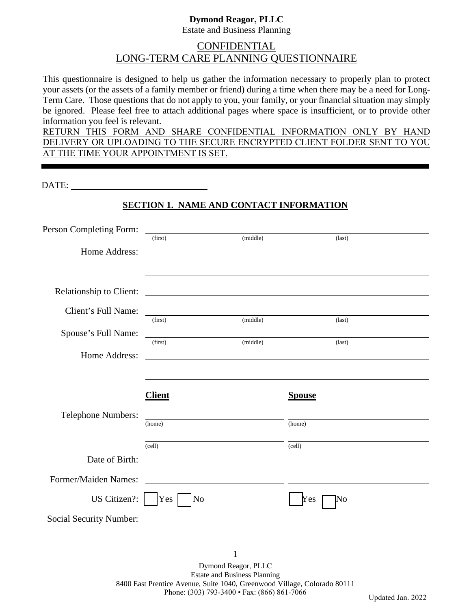#### **Dymond Reagor, PLLC** Estate and Business Planning

# CONFIDENTIAL LONG-TERM CARE PLANNING QUESTIONNAIRE

This questionnaire is designed to help us gather the information necessary to properly plan to protect your assets (or the assets of a family member or friend) during a time when there may be a need for Long-Term Care. Those questions that do not apply to you, your family, or your financial situation may simply be ignored. Please feel free to attach additional pages where space is insufficient, or to provide other information you feel is relevant.

RETURN THIS FORM AND SHARE CONFIDENTIAL INFORMATION ONLY BY HAND DELIVERY OR UPLOADING TO THE SECURE ENCRYPTED CLIENT FOLDER SENT TO YOU AT THE TIME YOUR APPOINTMENT IS SET.

DATE:

# **SECTION 1. NAME AND CONTACT INFORMATION**

| Person Completing Form:                 |                                                                                                                           |          |                                                             |  |
|-----------------------------------------|---------------------------------------------------------------------------------------------------------------------------|----------|-------------------------------------------------------------|--|
|                                         | (first)                                                                                                                   | (middle) | $\text{(last)}$                                             |  |
| Home Address:                           | <u> 1980 - Johann Barnett, fransk politiker (d. 1980)</u>                                                                 |          |                                                             |  |
|                                         |                                                                                                                           |          |                                                             |  |
|                                         |                                                                                                                           |          |                                                             |  |
| <b>Relationship to Client:</b>          |                                                                                                                           |          |                                                             |  |
| Client's Full Name:                     | <u> 1989 - Johann Stoff, deutscher Stoffen und der Stoffen und der Stoffen und der Stoffen und der Stoffen und der </u>   |          |                                                             |  |
|                                         | (first)                                                                                                                   | (middle) | $\text{(last)}$                                             |  |
| Spouse's Full Name:                     | <u> 1990 - Jan James James Jan James James James James James James James James James James James James James James Ja</u> |          |                                                             |  |
|                                         | (first)                                                                                                                   | (middle) | $\text{(last)}$                                             |  |
| Home Address:                           | <u> 1989 - Johann Harry Harry Harry Harry Harry Harry Harry Harry Harry Harry Harry Harry Harry Harry Harry Harry</u>     |          |                                                             |  |
|                                         |                                                                                                                           |          |                                                             |  |
|                                         |                                                                                                                           |          |                                                             |  |
|                                         | <b>Client</b>                                                                                                             |          | <b>Spouse</b>                                               |  |
| <b>Telephone Numbers:</b>               |                                                                                                                           |          |                                                             |  |
|                                         |                                                                                                                           |          |                                                             |  |
|                                         | (home)                                                                                                                    |          | (home)                                                      |  |
|                                         |                                                                                                                           |          |                                                             |  |
|                                         | $\text{(cell)}$                                                                                                           |          | (cell)                                                      |  |
| Date of Birth:                          |                                                                                                                           |          | <u> 1999 - Johann Stoff, amerikansk politiker (d. 1989)</u> |  |
| Former/Maiden Names:                    | <u> 1989 - Johann Barn, mars et al. (b. 1989)</u>                                                                         |          |                                                             |  |
|                                         |                                                                                                                           |          |                                                             |  |
| US Citizen?:<br>Social Security Number: | Yes  <br>$\overline{\rm No}$                                                                                              |          | Yes<br>No                                                   |  |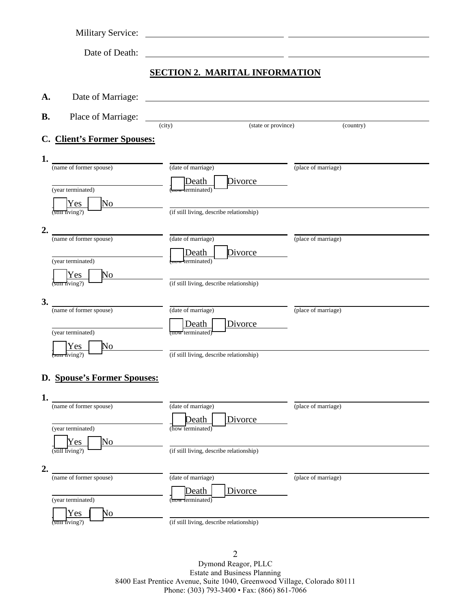|           | <b>Military Service:</b>                  |                                                                                                                       |                     |
|-----------|-------------------------------------------|-----------------------------------------------------------------------------------------------------------------------|---------------------|
|           | Date of Death:                            | <u> 1989 - Johann Harry Harry Harry Harry Harry Harry Harry Harry Harry Harry Harry Harry Harry Harry Harry Harry</u> |                     |
|           |                                           | <b>SECTION 2. MARITAL INFORMATION</b>                                                                                 |                     |
|           |                                           |                                                                                                                       |                     |
| A.        | Date of Marriage:                         |                                                                                                                       |                     |
| <b>B.</b> | Place of Marriage:                        | (state or province)<br>(city)                                                                                         |                     |
|           | C. Client's Former Spouses:               |                                                                                                                       | (country)           |
| 1.        |                                           |                                                                                                                       |                     |
|           | (name of former spouse)                   | (date of marriage)                                                                                                    | (place of marriage) |
|           | (year terminated)                         | Divorce<br>Death<br>mow lerminated)                                                                                   |                     |
|           | Yes<br>No                                 |                                                                                                                       |                     |
|           | $\frac{1}{\sin \pi \sin \pi}$             | (if still living, describe relationship)                                                                              |                     |
| 2.        | (name of former spouse)                   | (date of marriage)                                                                                                    | (place of marriage) |
|           |                                           | Divorce<br>Death<br><del>mow</del> terminated)                                                                        |                     |
|           | (year terminated)<br>Yes<br>No            |                                                                                                                       |                     |
|           | $(\overline{\text{sum}} \text{ living?})$ | (if still living, describe relationship)                                                                              |                     |
| 3.        | (name of former spouse)                   | (date of marriage)                                                                                                    | (place of marriage) |
|           |                                           | Death<br>Divorce                                                                                                      |                     |
|           | (year terminated)                         | now terminated)                                                                                                       |                     |
|           | Yes<br>Ńо<br><del>sun l</del> iving?)     | (if still living, describe relationship)                                                                              |                     |
|           | D. Spouse's Former Spouses:               |                                                                                                                       |                     |
|           |                                           |                                                                                                                       |                     |
| 1.        | (name of former spouse)                   | (date of marriage)                                                                                                    | (place of marriage) |
|           | (year terminated)                         | <b>Death</b><br>Divorce<br>(how terminated)                                                                           |                     |
|           | Yes<br>No                                 |                                                                                                                       |                     |
|           | (still living?)                           | (if still living, describe relationship)                                                                              |                     |
| 2.        | (name of former spouse)                   | (date of marriage)                                                                                                    | (place of marriage) |
|           |                                           | Divorce<br>Death                                                                                                      |                     |
|           | (year terminated)<br>Yes<br>No            | (how terminated)                                                                                                      |                     |
|           | (still living?)                           | (if still living, describe relationship)                                                                              |                     |

2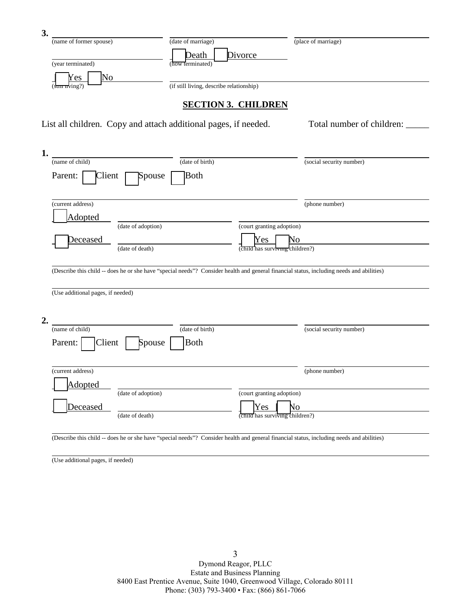| (name of former spouse)                                                                                             | (date of marriage)                                                                                                                        | (place of marriage)       |
|---------------------------------------------------------------------------------------------------------------------|-------------------------------------------------------------------------------------------------------------------------------------------|---------------------------|
|                                                                                                                     | Divorce<br>Death                                                                                                                          |                           |
| (year terminated)                                                                                                   | (how terminated)                                                                                                                          |                           |
| No<br>Yes<br>(s <del>un n</del> ving?)                                                                              | (if still living, describe relationship)                                                                                                  |                           |
|                                                                                                                     |                                                                                                                                           |                           |
|                                                                                                                     | <b>SECTION 3. CHILDREN</b>                                                                                                                |                           |
|                                                                                                                     | List all children. Copy and attach additional pages, if needed.                                                                           | Total number of children: |
|                                                                                                                     |                                                                                                                                           |                           |
|                                                                                                                     |                                                                                                                                           |                           |
| (name of child)                                                                                                     | (date of birth)                                                                                                                           | (social security number)  |
| Parent:<br>Client                                                                                                   | Both<br>Spouse                                                                                                                            |                           |
|                                                                                                                     |                                                                                                                                           |                           |
| (current address)                                                                                                   |                                                                                                                                           | (phone number)            |
| <b>Adopted</b>                                                                                                      |                                                                                                                                           |                           |
| (date of adoption)                                                                                                  | (court granting adoption)                                                                                                                 |                           |
|                                                                                                                     |                                                                                                                                           |                           |
| Deceased                                                                                                            | Yes                                                                                                                                       | No                        |
| (date of death)                                                                                                     | (child has surviving children?)                                                                                                           |                           |
|                                                                                                                     |                                                                                                                                           |                           |
|                                                                                                                     | (Describe this child -- does he or she have "special needs"? Consider health and general financial status, including needs and abilities) |                           |
|                                                                                                                     |                                                                                                                                           |                           |
|                                                                                                                     |                                                                                                                                           |                           |
|                                                                                                                     |                                                                                                                                           |                           |
|                                                                                                                     | (date of birth)                                                                                                                           | (social security number)  |
| Client                                                                                                              | <b>Both</b><br>Spouse                                                                                                                     |                           |
|                                                                                                                     |                                                                                                                                           |                           |
|                                                                                                                     |                                                                                                                                           | (phone number)            |
| Adopted                                                                                                             |                                                                                                                                           |                           |
| (date of adoption)                                                                                                  | (court granting adoption)                                                                                                                 |                           |
| (Use additional pages, if needed)<br>(name of child)<br>Parent:<br>(current address)<br>Deceased<br>(date of death) | Yes<br>(child has surviving children?)                                                                                                    | No                        |

(Use additional pages, if needed)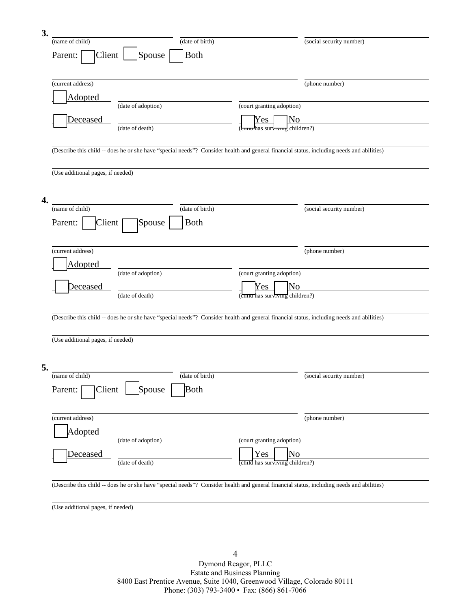| 3. |                                                                                                                                           |                 |                                                                 |                          |
|----|-------------------------------------------------------------------------------------------------------------------------------------------|-----------------|-----------------------------------------------------------------|--------------------------|
|    | (name of child)                                                                                                                           | (date of birth) |                                                                 | (social security number) |
|    | Spouse<br>Parent:<br>Client                                                                                                               | <b>Both</b>     |                                                                 |                          |
|    |                                                                                                                                           |                 |                                                                 |                          |
|    | (current address)                                                                                                                         |                 |                                                                 | (phone number)           |
|    | Adopted                                                                                                                                   |                 |                                                                 |                          |
|    | (date of adoption)                                                                                                                        |                 | (court granting adoption)                                       |                          |
|    | <u>Deceased</u>                                                                                                                           |                 | Yes<br>No                                                       |                          |
|    | (date of death)                                                                                                                           |                 | (c <del>hinu h</del> as surviving children?)                    |                          |
|    |                                                                                                                                           |                 |                                                                 |                          |
|    | (Describe this child -- does he or she have "special needs"? Consider health and general financial status, including needs and abilities) |                 |                                                                 |                          |
|    |                                                                                                                                           |                 |                                                                 |                          |
|    | (Use additional pages, if needed)                                                                                                         |                 |                                                                 |                          |
|    |                                                                                                                                           |                 |                                                                 |                          |
| 4. |                                                                                                                                           |                 |                                                                 |                          |
|    | (name of child)                                                                                                                           | (date of birth) |                                                                 | (social security number) |
|    | Spouse<br>Parent:<br>Client                                                                                                               | <b>Both</b>     |                                                                 |                          |
|    |                                                                                                                                           |                 |                                                                 |                          |
|    | (current address)                                                                                                                         |                 |                                                                 | (phone number)           |
|    |                                                                                                                                           |                 |                                                                 |                          |
|    | Adopted<br>(date of adoption)                                                                                                             |                 | (court granting adoption)                                       |                          |
|    | Deceased                                                                                                                                  |                 | Yes<br>No                                                       |                          |
|    | (date of death)                                                                                                                           |                 | (children?)                                                     |                          |
|    |                                                                                                                                           |                 |                                                                 |                          |
|    | (Describe this child -- does he or she have "special needs"? Consider health and general financial status, including needs and abilities) |                 |                                                                 |                          |
|    |                                                                                                                                           |                 |                                                                 |                          |
|    | (Use additional pages, if needed)                                                                                                         |                 |                                                                 |                          |
|    |                                                                                                                                           |                 |                                                                 |                          |
| 5. |                                                                                                                                           |                 |                                                                 |                          |
|    | (name of child)                                                                                                                           | (date of birth) |                                                                 | (social security number) |
|    | Client<br>Spouse<br>Parent:                                                                                                               | Both            |                                                                 |                          |
|    |                                                                                                                                           |                 |                                                                 |                          |
|    |                                                                                                                                           |                 |                                                                 |                          |
|    | (current address)                                                                                                                         |                 |                                                                 | (phone number)           |
|    | <b>Adopted</b><br>(date of adoption)                                                                                                      |                 | (court granting adoption)                                       |                          |
|    |                                                                                                                                           |                 |                                                                 |                          |
|    | Deceased<br>(date of death)                                                                                                               |                 | No<br>Yes<br>$\overline{\text{child}}$ has surviving children?) |                          |
|    |                                                                                                                                           |                 |                                                                 |                          |
|    | (Describe this child -- does he or she have "special needs"? Consider health and general financial status, including needs and abilities) |                 |                                                                 |                          |

(Use additional pages, if needed)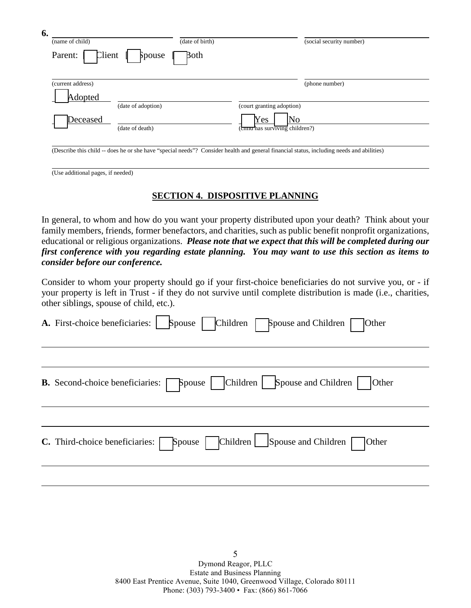| 6.<br>(name of child)<br>Client<br>Parent: | (date of birth)<br>Both<br>Spouse | (social security number)                                                                                                                  |
|--------------------------------------------|-----------------------------------|-------------------------------------------------------------------------------------------------------------------------------------------|
| (current address)<br>Adopted               |                                   | (phone number)                                                                                                                            |
|                                            | (date of adoption)                | (court granting adoption)                                                                                                                 |
| Deceased<br>(date of death)                |                                   | Yes<br>No<br>(coma has surviving children?)                                                                                               |
|                                            |                                   | (Describe this child -- does he or she have "special needs"? Consider health and general financial status, including needs and abilities) |

(Use additional pages, if needed)

# **SECTION 4. DISPOSITIVE PLANNING**

In general, to whom and how do you want your property distributed upon your death? Think about your family members, friends, former benefactors, and charities, such as public benefit nonprofit organizations, educational or religious organizations. *Please note that we expect that this will be completed during our first conference with you regarding estate planning. You may want to use this section as items to consider before our conference.*

Consider to whom your property should go if your first-choice beneficiaries do not survive you, or - if your property is left in Trust - if they do not survive until complete distribution is made (i.e., charities, other siblings, spouse of child, etc.).

| A. First-choice beneficiaries:   Spouse   Children   Spouse and Children              | Other                                              |
|---------------------------------------------------------------------------------------|----------------------------------------------------|
| <b>B.</b> Second-choice beneficiaries: <b>Spouse</b>   Children   Spouse and Children | <b>Other</b>                                       |
| <b>C.</b> Third-choice beneficiaries:                                                 | Spouse   Children   Spouse and Children  <br>Other |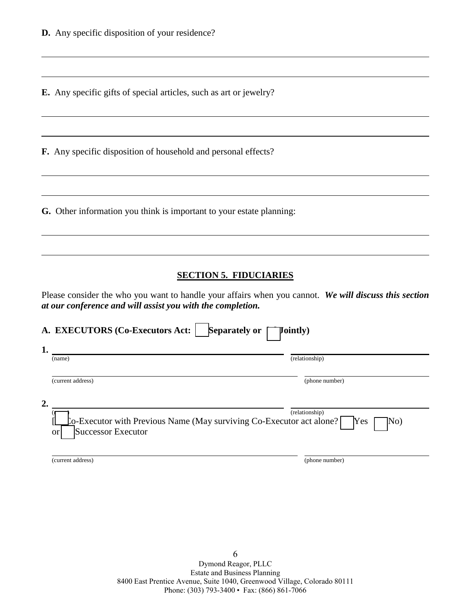**E.** Any specific gifts of special articles, such as art or jewelry?

**F.** Any specific disposition of household and personal effects?

**G.** Other information you think is important to your estate planning:

## **SECTION 5. FIDUCIARIES**

Please consider the who you want to handle your affairs when you cannot. *We will discuss this section at our conference and will assist you with the completion.*

| A. EXECUTORS (Co-Executors Act:                                                                                           | <b>Separately or</b><br><b>Jointly)</b> |
|---------------------------------------------------------------------------------------------------------------------------|-----------------------------------------|
| 1.<br>(name)                                                                                                              | (relationship)                          |
| (current address)                                                                                                         | (phone number)                          |
| 2.<br>$\Omega$ -Executor with Previous Name (May surviving Co-Executor act alone?)<br>Successor Executor<br><sub>or</sub> | (relationship)<br>Yes<br>No)            |
| (current address)                                                                                                         | (phone number)                          |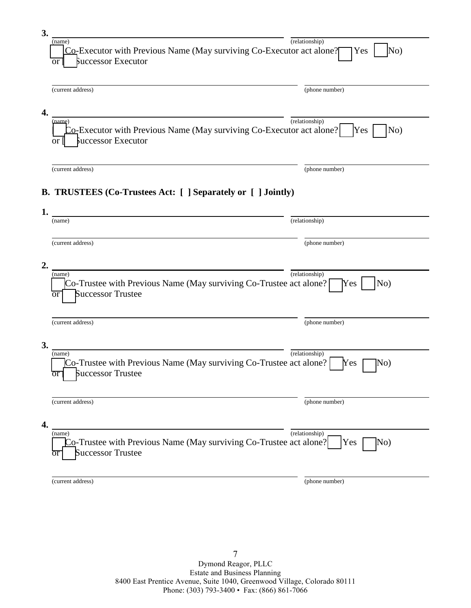| 3.           |                                                                                                                   |                                       |
|--------------|-------------------------------------------------------------------------------------------------------------------|---------------------------------------|
|              | (name)<br>Co-Executor with Previous Name (May surviving Co-Executor act alone?<br>Successor Executor<br><b>or</b> | (relationship)<br>$\rm No)$<br>Yes    |
|              | (current address)                                                                                                 | (phone number)                        |
| 4.           | (name)<br>Co-Executor with Previous Name (May surviving Co-Executor act alone?<br>Successor Executor<br>or        | $(\text{relationship})$<br>No)<br>Yes |
|              | (current address)                                                                                                 | (phone number)                        |
|              | B. TRUSTEES (Co-Trustees Act: [ ] Separately or [ ] Jointly)                                                      |                                       |
| $\mathbf{1}$ | (name)                                                                                                            | (relationship)                        |
|              | (current address)                                                                                                 | (phone number)                        |
| 2.           | (name)<br>Co-Trustee with Previous Name (May surviving Co-Trustee act alone?<br><b>Successor Trustee</b><br>or    | (relationship)<br>No)<br>Yes          |
|              | (current address)                                                                                                 | (phone number)                        |
| 3.           | (name)<br>Co-Trustee with Previous Name (May surviving Co-Trustee act alone?<br><b>Successor Trustee</b><br>or    | (relationship)<br>No)<br>Yes          |
|              | (current address)                                                                                                 | (phone number)                        |
| 4.           |                                                                                                                   |                                       |
|              | (name)<br>Co-Trustee with Previous Name (May surviving Co-Trustee act alone?<br><b>Successor Trustee</b>          | (relationship)<br>Yes<br>No)          |
|              | (current address)                                                                                                 | (phone number)                        |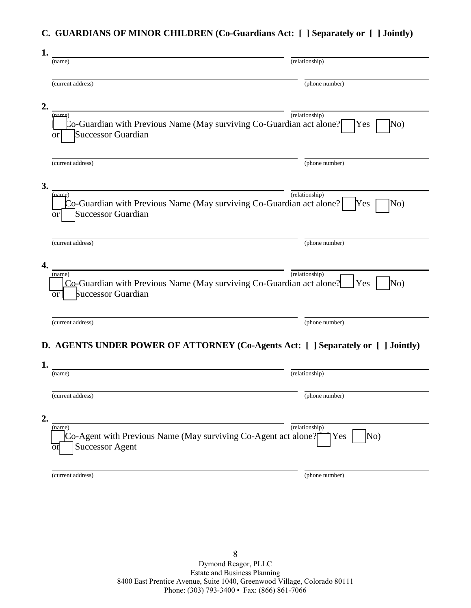# **C. GUARDIANS OF MINOR CHILDREN (Co-Guardians Act: [ ] Separately or [ ] Jointly)**

| 1. |                                                                                                                   |                                       |
|----|-------------------------------------------------------------------------------------------------------------------|---------------------------------------|
|    | (name)                                                                                                            | (relationship)                        |
|    | (current address)                                                                                                 | (phone number)                        |
| 2. |                                                                                                                   |                                       |
|    | name<br>Co-Guardian with Previous Name (May surviving Co-Guardian act alone?<br><b>Successor Guardian</b><br>Оľ   | (relationship)<br>No)<br>Yes          |
|    | (current address)                                                                                                 | (phone number)                        |
| 3. |                                                                                                                   | (relationship)                        |
|    | (name)<br>Co-Guardian with Previous Name (May surviving Co-Guardian act alone?<br><b>Successor Guardian</b><br>or | No)<br>Yes                            |
|    | (current address)                                                                                                 | (phone number)                        |
| 4. |                                                                                                                   |                                       |
|    | (name)<br>Co-Guardian with Previous Name (May surviving Co-Guardian act alone?<br>Successor Guardian<br>or        | $(\text{relationship})$<br>Yes<br>No) |
|    | (current address)                                                                                                 | (phone number)                        |
|    | D. AGENTS UNDER POWER OF ATTORNEY (Co-Agents Act: [ ] Separately or [ ] Jointly)                                  |                                       |
| 1. |                                                                                                                   |                                       |
|    | (name)                                                                                                            | $(\text{relationship})$               |
|    | (current address)                                                                                                 | (phone number)                        |
| 2. |                                                                                                                   |                                       |
|    | (name)<br>Co-Agent with Previous Name (May surviving Co-Agent act alone?<br><b>Successor Agent</b><br>or          | (relationship)<br>No)<br>Yes          |
|    | (current address)                                                                                                 | (phone number)                        |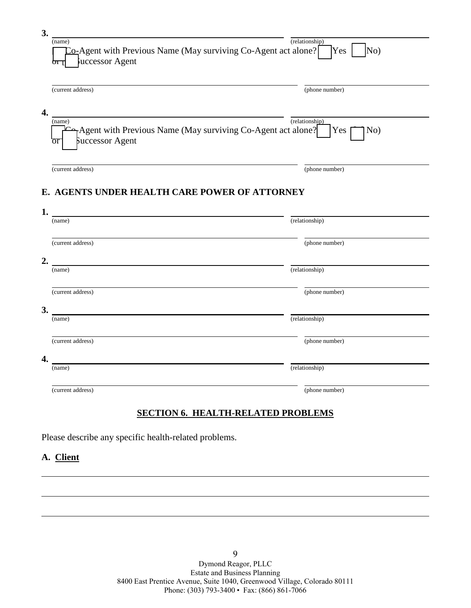| 3. |                                                                                                 |                                       |
|----|-------------------------------------------------------------------------------------------------|---------------------------------------|
|    | (name)<br>Co-Agent with Previous Name (May surviving Co-Agent act alone?<br>uccessor Agent<br>ா | $(\text{relationship})$<br>No)<br>Yes |
|    | (current address)                                                                               | (phone number)                        |
| 4. | (name)                                                                                          | (relationship)                        |
|    | Agent with Previous Name (May surviving Co-Agent act alone?<br>Successor Agent<br>or            | No)<br>Yes                            |
|    | (current address)                                                                               | (phone number)                        |
|    | E. AGENTS UNDER HEALTH CARE POWER OF ATTORNEY                                                   |                                       |
| 1. |                                                                                                 |                                       |
|    | (name)                                                                                          | (relationship)                        |
|    | (current address)                                                                               | (phone number)                        |
| 2. |                                                                                                 |                                       |
|    | (name)                                                                                          | (relationship)                        |
|    | (current address)                                                                               | (phone number)                        |
| 3. |                                                                                                 |                                       |
|    | (name)                                                                                          | (relationship)                        |
|    | (current address)                                                                               | (phone number)                        |
| 4. |                                                                                                 |                                       |
|    | (name)                                                                                          | (relationship)                        |
|    | (current address)                                                                               | (phone number)                        |

# **SECTION 6. HEALTH-RELATED PROBLEMS**

Please describe any specific health-related problems.

# **A. Client**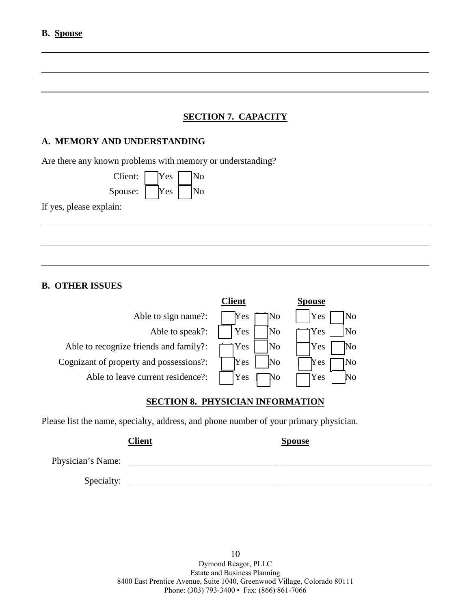# **SECTION 7. CAPACITY**

## **A. MEMORY AND UNDERSTANDING**

Are there any known problems with memory or understanding?

| Client: | <b>Yes</b> | lNo |
|---------|------------|-----|
| Spouse: | Yes        | lNo |

If yes, please explain:

## **B. OTHER ISSUES**

| Client | spouse         |
|--------|----------------|
| Yes    | Yes            |
| No     | N <sub>0</sub> |
| Yes    | N <sub>o</sub> |
| No     | Yes            |
| Yes    | Yes            |
| No     | No             |
| Yes    | No             |
| No     | <b>Y</b> es    |
| Yes    | Yes            |
|        |                |

# **SECTION 8. PHYSICIAN INFORMATION**

Please list the name, specialty, address, and phone number of your primary physician.

|                   | <b>Client</b> | <b>Spouse</b> |
|-------------------|---------------|---------------|
| Physician's Name: |               |               |
| Specialty:        |               |               |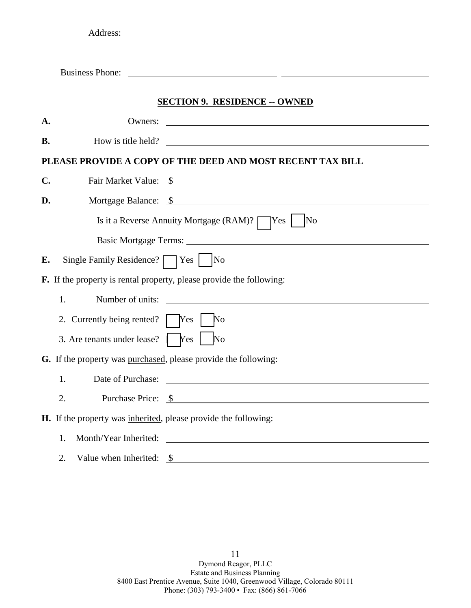|                | Address:                                                          | <u> 2000 - Andrea State Barbara, amerikan personal dan personal dan personal dan personal dan personal dan personal dan personal dan personal dan personal dan personal dan personal dan personal dan personal dan personal dan </u> |
|----------------|-------------------------------------------------------------------|--------------------------------------------------------------------------------------------------------------------------------------------------------------------------------------------------------------------------------------|
|                |                                                                   | <u> 1989 - Andrea Santa Alemania, amerikana popularna popularna a strategicka popularna a strategicka popularna a</u>                                                                                                                |
|                | <b>Business Phone:</b>                                            | <u> 1989 - Johann John Stone, mars et al. 1989 - John Stone, mars et al. 1989 - John Stone, mars et al. 1989 - Joh</u>                                                                                                               |
|                |                                                                   | <b>SECTION 9. RESIDENCE -- OWNED</b>                                                                                                                                                                                                 |
| A.             |                                                                   |                                                                                                                                                                                                                                      |
| <b>B.</b>      |                                                                   | How is title held?                                                                                                                                                                                                                   |
|                |                                                                   | PLEASE PROVIDE A COPY OF THE DEED AND MOST RECENT TAX BILL                                                                                                                                                                           |
| $\mathbf{C}$ . |                                                                   | Fair Market Value: \$                                                                                                                                                                                                                |
| D.             |                                                                   | Mortgage Balance: \$                                                                                                                                                                                                                 |
|                |                                                                   | Is it a Reverse Annuity Mortgage (RAM)?   Yes  <br> No                                                                                                                                                                               |
|                |                                                                   |                                                                                                                                                                                                                                      |
| Е.             | Single Family Residence? $\Box$ Yes $\Box$ No                     |                                                                                                                                                                                                                                      |
|                |                                                                   | <b>F.</b> If the property is <u>rental property</u> , please provide the following:                                                                                                                                                  |
|                | Number of units:<br>1.                                            | <u> 1989 - Andrea State Barbara, amerikan personal di sebagai personal di sebagai personal di sebagai personal di</u>                                                                                                                |
|                | 2. Currently being rented?   Yes                                  | $\mathbb{N}^{\text{o}}$                                                                                                                                                                                                              |
|                | 3. Are tenants under lease? $\begin{bmatrix} \n\end{bmatrix}$ Yes | No                                                                                                                                                                                                                                   |
|                | G. If the property was purchased, please provide the following:   |                                                                                                                                                                                                                                      |
|                | 1.                                                                |                                                                                                                                                                                                                                      |
|                | 2.                                                                | Purchase Price: <u>\$</u>                                                                                                                                                                                                            |
|                | H. If the property was inherited, please provide the following:   |                                                                                                                                                                                                                                      |
|                | 1.                                                                | Month/Year Inherited:                                                                                                                                                                                                                |
|                | 2.                                                                | Value when Inherited: $\frac{1}{2}$                                                                                                                                                                                                  |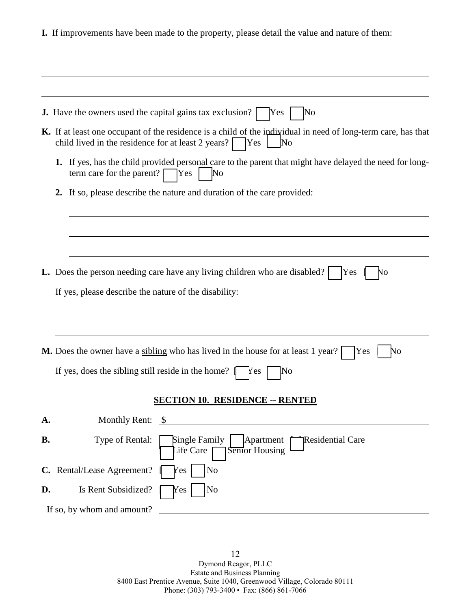**I.** If improvements have been made to the property, please detail the value and nature of them:

|           | <b>J.</b> Have the owners used the capital gains tax exclusion?<br>Yes<br>No                                                                                                                             |
|-----------|----------------------------------------------------------------------------------------------------------------------------------------------------------------------------------------------------------|
|           | K. If at least one occupant of the residence is a child of the individual in need of long-term care, has that<br>child lived in the residence for at least $2 \text{ years?}$ Yes<br>$\overline{\rm No}$ |
|           | If yes, has the child provided personal care to the parent that might have delayed the need for long-<br>1.<br>term care for the parent? $\lceil$<br>$\mathbb{N}^{\text{o}}$<br><b>Yes</b>               |
|           | If so, please describe the nature and duration of the care provided:<br>$2_{\cdot}$                                                                                                                      |
|           |                                                                                                                                                                                                          |
|           |                                                                                                                                                                                                          |
|           | <b>L.</b> Does the person needing care have any living children who are disabled?<br>Yes<br>No                                                                                                           |
|           | If yes, please describe the nature of the disability:                                                                                                                                                    |
|           |                                                                                                                                                                                                          |
|           |                                                                                                                                                                                                          |
|           | M. Does the owner have a sibling who has lived in the house for at least 1 year?<br>Yes<br>No                                                                                                            |
|           | If yes, does the sibling still reside in the home?<br>No<br>r es                                                                                                                                         |
|           | <b>SECTION 10. RESIDENCE -- RENTED</b>                                                                                                                                                                   |
| A.        | Monthly Rent: $$$                                                                                                                                                                                        |
| <b>B.</b> | <b>Residential Care</b><br>Type of Rental:<br>Single Family<br>Apartment<br>Semor Housing<br>Life Care                                                                                                   |
|           | No<br>C. Rental/Lease Agreement?<br>Yes                                                                                                                                                                  |
| D.        | No<br>Is Rent Subsidized?<br>Yes                                                                                                                                                                         |
|           | If so, by whom and amount?<br><u> 1980 - Jan Stein Berlin, amerikansk politiker (</u>                                                                                                                    |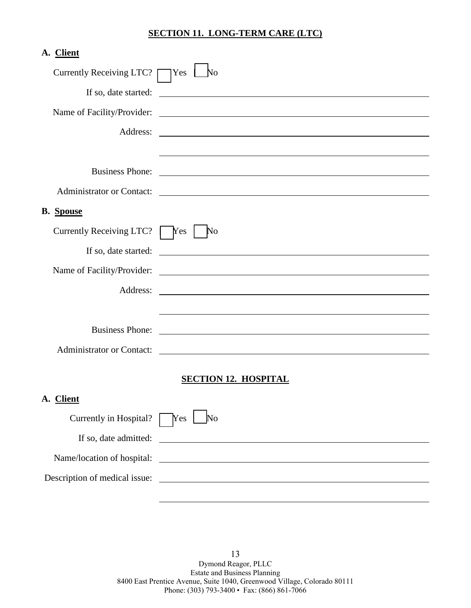## **SECTION 11. LONG-TERM CARE (LTC)**

| A. Client                                        |                             |
|--------------------------------------------------|-----------------------------|
| Currently Receiving LTC? $\Box$ Yes $\Box$ No    |                             |
| If so, date started:                             |                             |
|                                                  |                             |
|                                                  |                             |
|                                                  |                             |
|                                                  |                             |
|                                                  |                             |
| <b>B.</b> Spouse                                 |                             |
| Currently Receiving LTC? $\sqrt{\frac{1}{1}}$ No |                             |
|                                                  |                             |
|                                                  |                             |
| Address:                                         |                             |
|                                                  |                             |
|                                                  |                             |
|                                                  | Administrator or Contact:   |
|                                                  | <b>SECTION 12. HOSPITAL</b> |
| A. Client                                        |                             |
|                                                  |                             |
| Currently in Hospital? $\sqrt{\text{Yes}}$       | $\overline{\text{No}}$      |

13 Dymond Reagor, PLLC Estate and Business Planning 8400 East Prentice Avenue, Suite 1040, Greenwood Village, Colorado 80111 Phone: (303) 793-3400 • Fax: (866) 861-7066

If so, date admitted:

Name/location of hospital:

Description of medical issue: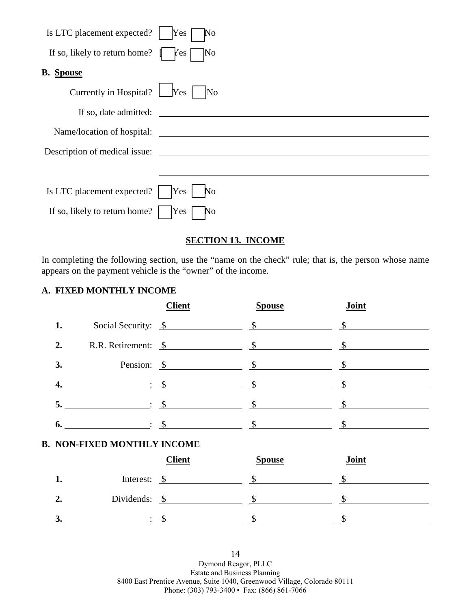| Is LTC placement expected?                | No<br>Yes                                          |
|-------------------------------------------|----------------------------------------------------|
| If so, likely to return home? $\parallel$ | Yes<br>$\overline{\rm No}$                         |
| <b>B.</b> Spouse                          |                                                    |
| Currently in Hospital? [Yes ]             | $\overline{\rm No}$                                |
| If so, date admitted:                     | <u> 1989 - John Stein, Amerikaansk politiker (</u> |
| Name/location of hospital:                |                                                    |
| Description of medical issue:             |                                                    |
|                                           |                                                    |
| Is LTC placement expected?                | Yes<br>N <sub>o</sub>                              |
| If so, likely to return home?             | Yes<br>N <sub>o</sub>                              |

# **SECTION 13. INCOME**

In completing the following section, use the "name on the check" rule; that is, the person whose name appears on the payment vehicle is the "owner" of the income.

## **A. FIXED MONTHLY INCOME**

|    |                               | <b>Client</b>            | <b>Spouse</b> | Joint |
|----|-------------------------------|--------------------------|---------------|-------|
| 1. |                               | Social Security: \$      |               |       |
| 2. |                               | R.R. Retirement: \$      |               |       |
| 3. |                               | Pension: $\frac{\$}{\$}$ |               |       |
| 4. | $\mathcal{S}$ : $\mathcal{S}$ |                          |               |       |
| 5. |                               | $\therefore$ \$          |               |       |
| 6. |                               | $\cdot$ \$               |               |       |

## **B. NON-FIXED MONTHLY INCOME**

|                  |                          | <b>Client</b> | <b>Spouse</b> | Joint |
|------------------|--------------------------|---------------|---------------|-------|
|                  | Interest:                |               |               |       |
| $\overline{2}$ . | Dividends: $\frac{\$}{}$ |               |               |       |
| ◡                |                          |               |               |       |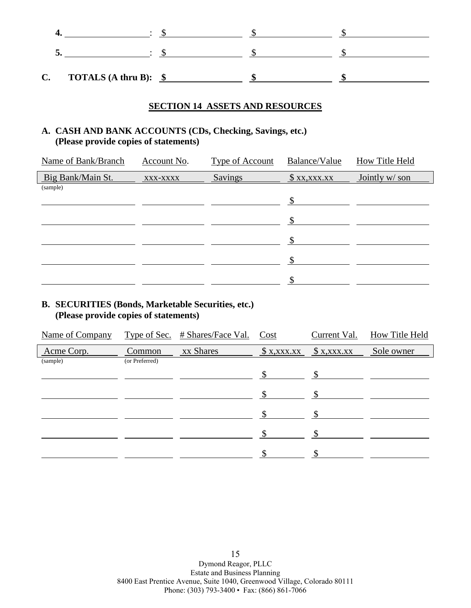| C. | <b>TOTALS</b> (A thru B): $\frac{\$}{\$}$ |  |  |
|----|-------------------------------------------|--|--|

#### **SECTION 14 ASSETS AND RESOURCES**

# **A. CASH AND BANK ACCOUNTS (CDs, Checking, Savings, etc.) (Please provide copies of statements)**

| Name of Bank/Branch | Account No. | <b>Type of Account</b> | Balance/Value        | <b>How Title Held</b> |
|---------------------|-------------|------------------------|----------------------|-----------------------|
| Big Bank/Main St.   | XXX-XXXX    | <b>Savings</b>         | $X_1, X_2, X_3, X_4$ | Jointly w/ son        |
| (sample)            |             |                        |                      |                       |
|                     |             |                        | <sup>¢</sup>         |                       |
|                     |             |                        | \$                   |                       |
|                     |             |                        | \$                   |                       |
|                     |             |                        | \$                   |                       |
|                     |             |                        |                      |                       |
|                     |             |                        |                      |                       |

# **B. SECURITIES (Bonds, Marketable Securities, etc.) (Please provide copies of statements)**

| Name of Company |                | Type of Sec. # Shares/Face Val. Cost | Current Val.                 | How Title Held |
|-----------------|----------------|--------------------------------------|------------------------------|----------------|
| Acme Corp.      | Common         | xx Shares                            | $$ x, xxx.xx$ $$ x, xxx.xx $ | Sole owner     |
| (sample)        | (or Preferred) |                                      |                              |                |
|                 |                |                                      |                              |                |
|                 |                |                                      |                              |                |
|                 |                |                                      |                              |                |
|                 |                |                                      |                              |                |
|                 |                |                                      |                              |                |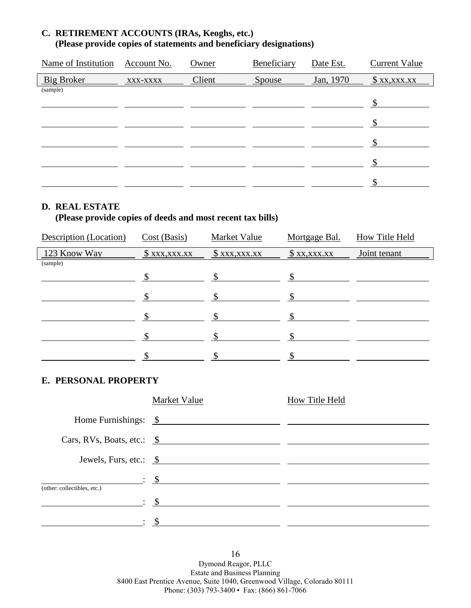# **C. RETIREMENT ACCOUNTS (IRAs, Keoghs, etc.) (Please provide copies of statements and beneficiary designations)**

| Name of Institution | Account No. | Owner  | Beneficiary | Date Est. | <b>Current Value</b> |
|---------------------|-------------|--------|-------------|-----------|----------------------|
| Big Broker          | XXX-XXXX    | Client | Spouse      | Jan, 1970 | $x_{xx,xxxx}$        |
| (sample)            |             |        |             |           |                      |
|                     |             |        |             |           | \$                   |
|                     |             |        |             |           |                      |
|                     |             |        |             |           |                      |
|                     |             |        |             |           |                      |
|                     |             |        |             |           | ¢                    |
|                     |             |        |             |           |                      |

## **D. REAL ESTATE**

# **(Please provide copies of deeds and most recent tax bills)**

| Description (Location) | Cost (Basis)         | Market Value         | Mortgage Bal. | How Title Held |
|------------------------|----------------------|----------------------|---------------|----------------|
| 123 Know Way           | $x_1, x_2, x_3, x_4$ | $x_1, x_2, x_3, x_4$ | x, x, x, x    | Joint tenant   |
| (sample)               |                      |                      |               |                |
|                        | \$.                  |                      | ¢             |                |
|                        |                      |                      |               |                |
|                        |                      |                      |               |                |
|                        |                      |                      |               |                |
|                        |                      |                      |               |                |

## **E. PERSONAL PROPERTY**

| Market Value                    | How Title Held                                             |
|---------------------------------|------------------------------------------------------------|
| Home Furnishings: \$            |                                                            |
| $Cars, RVs, Boats, etc.: \S$    |                                                            |
|                                 |                                                            |
|                                 |                                                            |
|                                 |                                                            |
| $\mathfrak{S}$ : $\mathfrak{S}$ |                                                            |
| $\therefore$ \$                 |                                                            |
|                                 | Jewels, Furs, etc.: $\frac{\$$<br>$\frac{\cdot}{\cdot}$ \$ |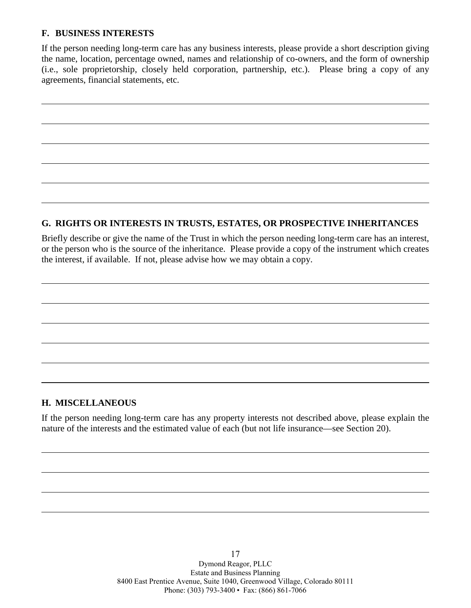## **F. BUSINESS INTERESTS**

If the person needing long-term care has any business interests, please provide a short description giving the name, location, percentage owned, names and relationship of co-owners, and the form of ownership (i.e., sole proprietorship, closely held corporation, partnership, etc.). Please bring a copy of any agreements, financial statements, etc.

# **G. RIGHTS OR INTERESTS IN TRUSTS, ESTATES, OR PROSPECTIVE INHERITANCES**

Briefly describe or give the name of the Trust in which the person needing long-term care has an interest, or the person who is the source of the inheritance. Please provide a copy of the instrument which creates the interest, if available. If not, please advise how we may obtain a copy.

## **H. MISCELLANEOUS**

If the person needing long-term care has any property interests not described above, please explain the nature of the interests and the estimated value of each (but not life insurance—see Section 20).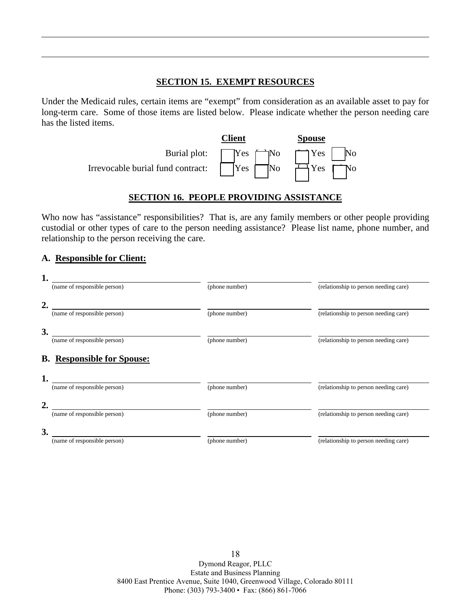## **SECTION 15. EXEMPT RESOURCES**

Under the Medicaid rules, certain items are "exempt" from consideration as an available asset to pay for long-term care. Some of those items are listed below. Please indicate whether the person needing care has the listed items.



# **SECTION 16. PEOPLE PROVIDING ASSISTANCE**

Who now has "assistance" responsibilities? That is, are any family members or other people providing custodial or other types of care to the person needing assistance? Please list name, phone number, and relationship to the person receiving the care.

## **A. Responsible for Client:**

| 1.                                |                |                                       |
|-----------------------------------|----------------|---------------------------------------|
| (name of responsible person)      | (phone number) | (relationship to person needing care) |
| $\overline{2}$                    |                |                                       |
| (name of responsible person)      | (phone number) | (relationship to person needing care) |
| 3.                                |                |                                       |
| (name of responsible person)      | (phone number) | (relationship to person needing care) |
| <b>B.</b> Responsible for Spouse: |                |                                       |
| 1.                                |                |                                       |
| (name of responsible person)      | (phone number) | (relationship to person needing care) |
| 2.                                |                |                                       |
| (name of responsible person)      | (phone number) | (relationship to person needing care) |
| 3.                                |                |                                       |
| (name of responsible person)      | (phone number) | (relationship to person needing care) |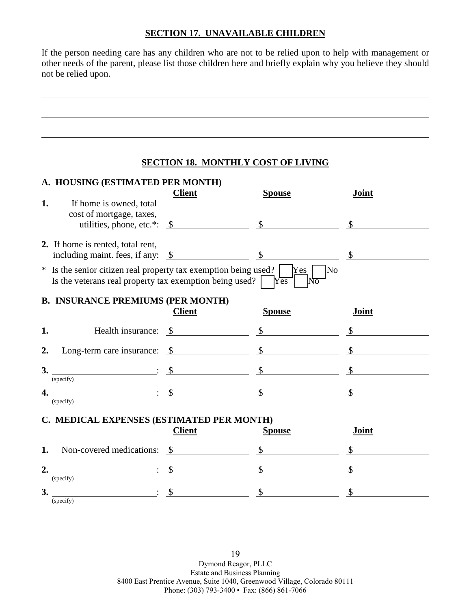## **SECTION 17. UNAVAILABLE CHILDREN**

If the person needing care has any children who are not to be relied upon to help with management or other needs of the parent, please list those children here and briefly explain why you believe they should not be relied upon.

## **SECTION 18. MONTHLY COST OF LIVING**

| 1. | A. HOUSING (ESTIMATED PER MONTH)<br>If home is owned, total<br>cost of mortgage, taxes,                                                                                                                                                                                                                                                                                             | <b>Client</b> | <b>Spouse</b>                                                     | Joint         |
|----|-------------------------------------------------------------------------------------------------------------------------------------------------------------------------------------------------------------------------------------------------------------------------------------------------------------------------------------------------------------------------------------|---------------|-------------------------------------------------------------------|---------------|
|    |                                                                                                                                                                                                                                                                                                                                                                                     |               | utilities, phone, etc.*: $\frac{\$}{\$}$                          |               |
|    | 2. If home is rented, total rent,<br>including maint. fees, if any: $\frac{\$}{\$}$ $\frac{\$}{\$}$ $\frac{\$}{\$}$                                                                                                                                                                                                                                                                 |               |                                                                   |               |
|    | * Is the senior citizen real property tax exemption being used?<br>Is the veterans real property tax exemption being used? $\sqrt{\text{res}}$                                                                                                                                                                                                                                      |               | $\overline{\rm No}$<br>$Yes$  <br>lΝō                             |               |
|    | <b>B. INSURANCE PREMIUMS (PER MONTH)</b>                                                                                                                                                                                                                                                                                                                                            | <b>Client</b> | <b>Spouse</b>                                                     | Joint         |
| 1. |                                                                                                                                                                                                                                                                                                                                                                                     |               | Health insurance: $\frac{\$}{\$}$ $\frac{\$}{\$}$ $\frac{\$}{\$}$ |               |
| 2. | Long-term care insurance: $\frac{\$}{\$}$ $\frac{\$}{\$}$ $\frac{\$}{\$}$                                                                                                                                                                                                                                                                                                           |               |                                                                   |               |
|    | 3. $\overline{\hspace{2cm}3.}$<br>(specify)                                                                                                                                                                                                                                                                                                                                         |               |                                                                   | $\mathbb{S}$  |
|    | (specify)                                                                                                                                                                                                                                                                                                                                                                           |               |                                                                   |               |
|    | C. MEDICAL EXPENSES (ESTIMATED PER MONTH)                                                                                                                                                                                                                                                                                                                                           | <b>Client</b> | <b>Spouse</b>                                                     | Joint         |
| 1. | Non-covered medications: \$                                                                                                                                                                                                                                                                                                                                                         |               |                                                                   | $\mathbb{S}$  |
| 2. | $\frac{\cdot}{\cdot}$ $\frac{\cdot}{\cdot}$ $\frac{\cdot}{\cdot}$ $\frac{\cdot}{\cdot}$ $\frac{\cdot}{\cdot}$ $\frac{\cdot}{\cdot}$ $\frac{\cdot}{\cdot}$<br>(specify)                                                                                                                                                                                                              |               |                                                                   | $\mathcal{S}$ |
|    | 3. $\frac{\sqrt{3}}{2}$ $\frac{\sqrt{3}}{2}$ $\frac{\sqrt{3}}{2}$ $\frac{\sqrt{3}}{2}$ $\frac{\sqrt{3}}{2}$ $\frac{\sqrt{3}}{2}$ $\frac{\sqrt{3}}{2}$ $\frac{\sqrt{3}}{2}$ $\frac{\sqrt{3}}{2}$ $\frac{\sqrt{3}}{2}$ $\frac{\sqrt{3}}{2}$ $\frac{\sqrt{3}}{2}$ $\frac{\sqrt{3}}{2}$ $\frac{\sqrt{3}}{2}$ $\frac{\sqrt{3}}{2}$ $\frac{\sqrt{3}}{2}$ $\frac{\sqrt{3}}{2$<br>(specify) |               |                                                                   | $\mathbb{S}$  |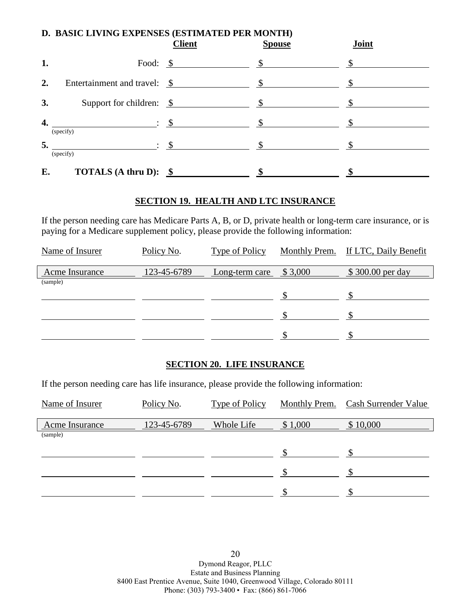|    | D. BASIC LIVING EXPENSES (ESTIMATED PER MONTH)<br>Joint<br><b>Client</b><br><b>Spouse</b> |                       |               |  |  |
|----|-------------------------------------------------------------------------------------------|-----------------------|---------------|--|--|
| 1. |                                                                                           | Food: $\frac{\ }{\ }$ | $\frac{\S}{}$ |  |  |
| 2. |                                                                                           |                       | $\mathbb{S}$  |  |  |
| 3. | Support for children: $\frac{\$}{\$}$                                                     |                       | $\mathbb{S}$  |  |  |
| 4. | $\mathcal{S}$ : $\mathcal{S}$<br>(specify)                                                |                       |               |  |  |
| 5. | $\cdot$ \$<br>(specify)                                                                   |                       |               |  |  |
| E. | <b>TOTALS</b> (A thru D): $\frac{\$}{\$}$                                                 |                       |               |  |  |

## **SECTION 19. HEALTH AND LTC INSURANCE**

If the person needing care has Medicare Parts A, B, or D, private health or long-term care insurance, or is paying for a Medicare supplement policy, please provide the following information:

| Name of Insurer | Policy No.  | Type of Policy |         | Monthly Prem. If LTC, Daily Benefit |
|-----------------|-------------|----------------|---------|-------------------------------------|
| Acme Insurance  | 123-45-6789 | Long-term care | \$3,000 | \$300.00 per day                    |
| (sample)        |             |                |         |                                     |
|                 |             |                |         |                                     |
|                 |             |                |         |                                     |
|                 |             |                |         |                                     |

## **SECTION 20. LIFE INSURANCE**

If the person needing care has life insurance, please provide the following information:

| Name of Insurer | Policy No.  | <b>Type of Policy</b> | <b>Monthly Prem.</b> | <b>Cash Surrender Value</b> |
|-----------------|-------------|-----------------------|----------------------|-----------------------------|
| Acme Insurance  | 123-45-6789 | Whole Life            | \$1,000              | \$10,000                    |
| (sample)        |             |                       |                      |                             |
|                 |             |                       |                      |                             |
|                 |             |                       |                      |                             |
|                 |             |                       |                      |                             |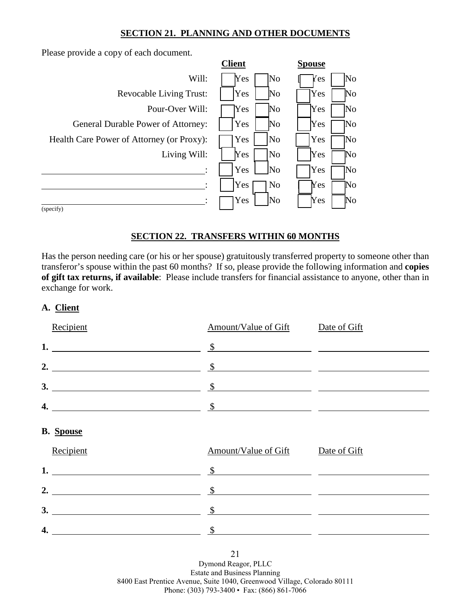## **SECTION 21. PLANNING AND OTHER DOCUMENTS**

Please provide a copy of each document.

|                                           | <b>Client</b> |                        | <b>Spouse</b> |    |
|-------------------------------------------|---------------|------------------------|---------------|----|
| Will:                                     | Yes           | No                     | Yes           | No |
| <b>Revocable Living Trust:</b>            | Yes           | No                     | Yes           | No |
| Pour-Over Will:                           | Yes           | $\overline{\text{No}}$ | Yes           | No |
| General Durable Power of Attorney:        | Yes           | $\overline{\text{No}}$ | Yes           | No |
| Health Care Power of Attorney (or Proxy): | Yes           | N <sub>0</sub>         | Yes           | No |
| Living Will:                              | Yes           | N <sub>0</sub>         | Yes           | No |
|                                           | Yes           | No                     | Yes           | No |
|                                           | Yes           | N <sub>o</sub>         | Yes           | No |
|                                           | Yes           | No                     | Yes           | No |
| (specify)                                 |               |                        |               |    |

## **SECTION 22. TRANSFERS WITHIN 60 MONTHS**

Has the person needing care (or his or her spouse) gratuitously transferred property to someone other than transferor's spouse within the past 60 months? If so, please provide the following information and **copies of gift tax returns, if available**: Please include transfers for financial assistance to anyone, other than in exchange for work.

## **A. Client**

| Recipient                                                                                                                                                                                                                                                                                                                                                                                                                    | Amount/Value of Gift Date of Gift |  |
|------------------------------------------------------------------------------------------------------------------------------------------------------------------------------------------------------------------------------------------------------------------------------------------------------------------------------------------------------------------------------------------------------------------------------|-----------------------------------|--|
| 1. $\frac{\$}{\$}$                                                                                                                                                                                                                                                                                                                                                                                                           |                                   |  |
| 2. $\frac{\text{S}}{\text{S}}$                                                                                                                                                                                                                                                                                                                                                                                               |                                   |  |
|                                                                                                                                                                                                                                                                                                                                                                                                                              |                                   |  |
| 4. $\frac{\text{S}}{\text{S}}$                                                                                                                                                                                                                                                                                                                                                                                               |                                   |  |
| <b>B.</b> Spouse                                                                                                                                                                                                                                                                                                                                                                                                             |                                   |  |
| Recipient                                                                                                                                                                                                                                                                                                                                                                                                                    | Amount/Value of Gift Date of Gift |  |
| 1. $\frac{\ }{s}$ $\frac{\ }{s}$ $\frac{\ }{s}$ $\frac{\ }{s}$ $\frac{\ }{s}$ $\frac{\ }{s}$ $\frac{\ }{s}$ $\frac{\ }{s}$ $\frac{\ }{s}$ $\frac{\ }{s}$ $\frac{\ }{s}$ $\frac{\ }{s}$ $\frac{\ }{s}$ $\frac{\ }{s}$ $\frac{\ }{s}$ $\frac{\ }{s}$ $\frac{\ }{s}$ $\frac{\ }{s}$ $\frac{\ }{s}$ $\frac{\ }{s}$ $\frac{\ }{s}$ $\frac{\ }{s}$                                                                                 |                                   |  |
| 2. $\frac{\text{S}}{\text{S}}$ $\frac{\text{S}}{\text{S}}$ $\frac{\text{S}}{\text{S}}$ $\frac{\text{S}}{\text{S}}$ $\frac{\text{S}}{\text{S}}$ $\frac{\text{S}}{\text{S}}$ $\frac{\text{S}}{\text{S}}$ $\frac{\text{S}}{\text{S}}$ $\frac{\text{S}}{\text{S}}$ $\frac{\text{S}}{\text{S}}$ $\frac{\text{S}}{\text{S}}$ $\frac{\text{S}}{\text{S}}$ $\frac{\text{S}}{\text{S}}$ $\frac{\text{S}}{\text{S}}$ $\frac{\text{S}}$ |                                   |  |
| $\sim$ 3.                                                                                                                                                                                                                                                                                                                                                                                                                    |                                   |  |
|                                                                                                                                                                                                                                                                                                                                                                                                                              | $\frac{\S}{\S}$                   |  |